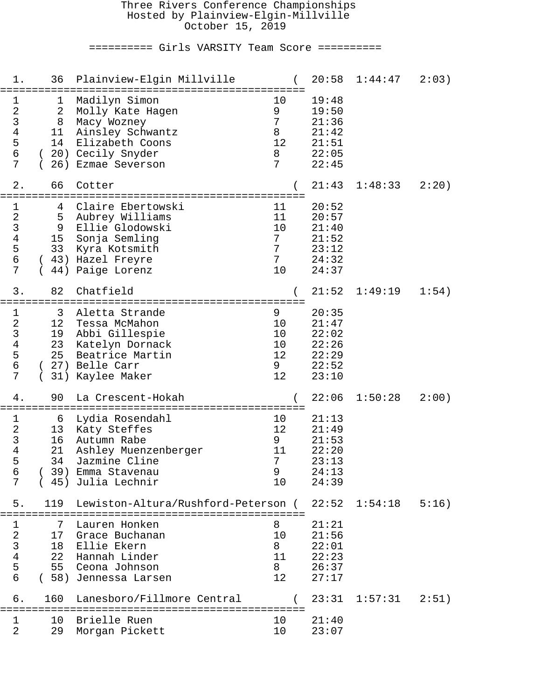#### Three Rivers Conference Championships Hosted by Plainview-Elgin-Millville October 15, 2019

========== Girls VARSITY Team Score ==========

| 1.                                                                         | 36                                     | Plainview-Elgin Millville                                                                                                                      |                                                  | 20:58                                                       | 1:44:47 | 2:03) |
|----------------------------------------------------------------------------|----------------------------------------|------------------------------------------------------------------------------------------------------------------------------------------------|--------------------------------------------------|-------------------------------------------------------------|---------|-------|
| 1<br>$\mathbf{2}$<br>$\mathsf 3$<br>$\overline{4}$<br>5<br>$\epsilon$<br>7 | 2<br>8<br>11 <sub>1</sub><br>14        | -------<br>Madilyn Simon<br>Molly Kate Hagen<br>Macy Wozney<br>Ainsley Schwantz<br>Elizabeth Coons<br>(20) Cecily Snyder<br>26) Ezmae Severson | $10$<br>9<br>7<br>8<br>12<br>8<br>7              | 19:48<br>19:50<br>21:36<br>21:42<br>21:51<br>22:05<br>22:45 |         |       |
| $2$ .                                                                      | 66                                     | Cotter                                                                                                                                         |                                                  | 21:43                                                       | 1:48:33 | 2:20) |
| 1<br>$\sqrt{2}$<br>$\mathsf{3}$<br>4<br>5<br>6<br>7                        | 4<br>5<br>9<br>15 <sub>1</sub><br>33   | Claire Ebertowski<br>Aubrey Williams<br>Ellie Glodowski<br>Sonja Semling<br>Kyra Kotsmith<br>(43) Hazel Freyre<br>44) Paige Lorenz             | 11<br>11<br>10<br>7<br>7<br>$7\phantom{.}$<br>10 | 20:52<br>20:57<br>21:40<br>21:52<br>23:12<br>24:32<br>24:37 |         |       |
| 3.                                                                         | 82                                     | Chatfield                                                                                                                                      |                                                  | 21:52                                                       | 1:49:19 | 1:54) |
| 1<br>$\sqrt{2}$<br>3<br>$\overline{4}$<br>5<br>6<br>7                      | 3<br>12<br>19<br>23<br>25              | Aletta Strande<br>Tessa McMahon<br>Abbi Gillespie<br>Katelyn Dornack<br>Beatrice Martin<br>(27) Belle Carr<br>31) Kaylee Maker                 | 9<br>10<br>10<br>10<br>12<br>9<br>12             | 20:35<br>21:47<br>22:02<br>22:26<br>22:29<br>22:52<br>23:10 |         |       |
| 4.                                                                         | 90                                     | La Crescent-Hokah                                                                                                                              |                                                  | 22:06                                                       | 1:50:28 | 2:00) |
| 1<br>$\sqrt{2}$<br>$\mathsf{3}$<br>4<br>5<br>6<br>7                        | 6<br>13 <sup>°</sup><br>16<br>21<br>34 | Lydia Rosendahl<br>Katy Steffes<br>Autumn Rabe<br>Ashley Muenzenberger<br>Jazmine Cline<br>39) Emma Stavenau<br>45) Julia Lechnir              | 10<br>12<br>9<br>11<br>7<br>9<br>10              | 21:13<br>21:49<br>21:53<br>22:20<br>23:13<br>24:13<br>24:39 |         |       |
| 5.                                                                         | 119                                    | Lewiston-Altura/Rushford-Peterson (                                                                                                            |                                                  | 22:52                                                       | 1:54:18 | 5:16) |
| 1<br>$\overline{a}$<br>$\mathsf{3}$<br>$\overline{4}$<br>5<br>$\sigma$     | 7<br>17<br>18<br>22<br>55              | Lauren Honken<br>Grace Buchanan<br>Ellie Ekern<br>Hannah Linder<br>Ceona Johnson<br>(58) Jennessa Larsen                                       | 8<br>10<br>8<br>11<br>8<br>$12 \,$               | 21:21<br>21:56<br>22:01<br>22:23<br>26:37<br>27:17          |         |       |
| б.                                                                         | 160                                    | Lanesboro/Fillmore Central                                                                                                                     |                                                  | 23:31                                                       | 1:57:31 | 2:51) |
| $\mathbf 1$<br>2                                                           | 10<br>29                               | Brielle Ruen<br>Morgan Pickett                                                                                                                 | 10<br>10                                         | 21:40<br>23:07                                              |         |       |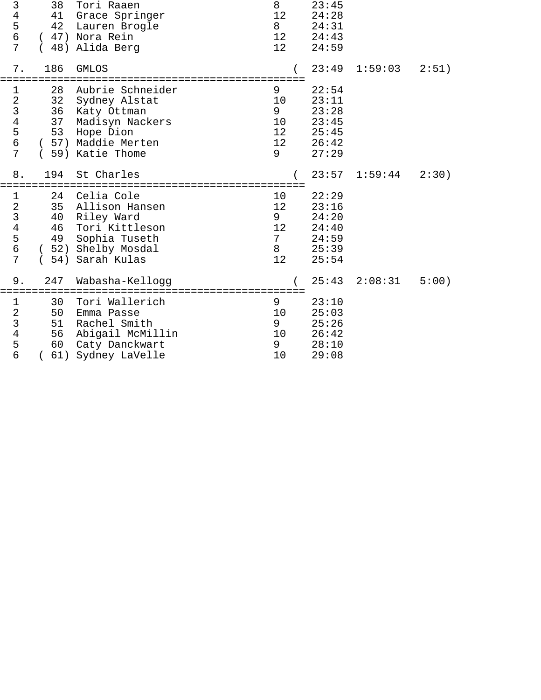| 3<br>$\begin{array}{c}\n4 \\ 5 \\ 6\n\end{array}$<br>7                              | 38<br>41<br>42             | Tori Raaen<br>Grace Springer<br>Lauren Brogle<br>(47) Nora Rein<br>48) Alida Berg                                          | 8<br>12<br>8<br>12<br>12 <sup>°</sup> | 23:45<br>24:28<br>24:31<br>24:43<br>24:59                   |         |       |
|-------------------------------------------------------------------------------------|----------------------------|----------------------------------------------------------------------------------------------------------------------------|---------------------------------------|-------------------------------------------------------------|---------|-------|
| 7.                                                                                  | 186                        | <b>GMLOS</b>                                                                                                               |                                       | 23:49                                                       | 1:59:03 | 2:51) |
| $\mathbf 1$<br>$\sqrt{2}$<br>$\begin{array}{c}\n3 \\ 4 \\ 5 \\ 6\n\end{array}$<br>7 | 28<br>32<br>36<br>37<br>53 | Aubrie Schneider<br>Sydney Alstat<br>Katy Ottman<br>Madisyn Nackers<br>Hope Dion<br>(57) Maddie Merten<br>(59) Katie Thome | 9<br>10<br>9<br>10<br>12<br>12<br>9   | 22:54<br>23:11<br>23:28<br>23:45<br>25:45<br>26:42<br>27:29 |         |       |
| $8$ .                                                                               | 194                        | St Charles                                                                                                                 |                                       | 23:57                                                       | 1:59:44 | 2:30) |
| $\mathbf 1$<br>$\sqrt{2}$<br>$\begin{array}{c}\n3 \\ 4 \\ 5 \\ 6\n\end{array}$<br>7 | 24<br>35<br>40<br>46<br>49 | Celia Cole<br>Allison Hansen<br>Riley Ward<br>Tori Kittleson<br>Sophia Tuseth<br>(52) Shelby Mosdal<br>(54) Sarah Kulas    | 10<br>12<br>9<br>12<br>7<br>8<br>12   | 22:29<br>23:16<br>24:20<br>24:40<br>24:59<br>25:39<br>25:54 |         |       |
| $9$ .                                                                               | 247                        | Wabasha-Kellogg                                                                                                            |                                       | 25:43                                                       | 2:08:31 | 5:00) |
| $\mathbf 1$<br>$\sqrt{2}$<br>$\begin{array}{c} 3 \\ 4 \\ 5 \end{array}$<br>6        | 30<br>50<br>51<br>56<br>60 | Tori Wallerich<br>Emma Passe<br>Rachel Smith<br>Abigail McMillin<br>Caty Danckwart<br>(61) Sydney LaVelle                  | 9<br>10<br>9<br>10<br>9<br>10         | 23:10<br>25:03<br>25:26<br>26:42<br>28:10<br>29:08          |         |       |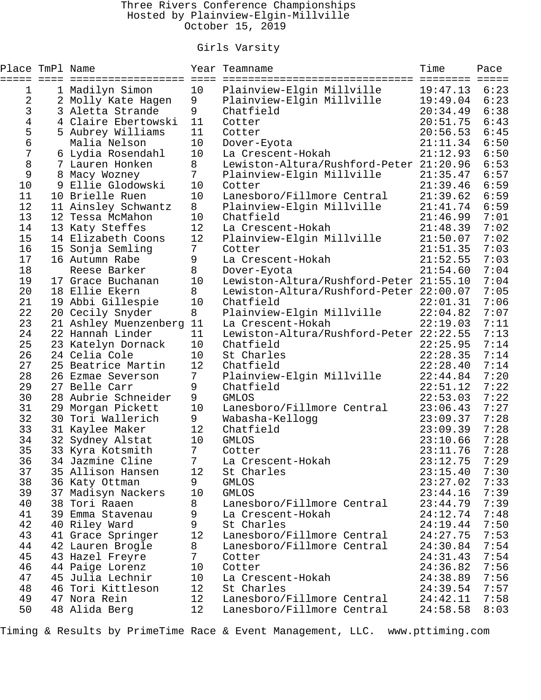### Three Rivers Conference Championships Hosted by Plainview-Elgin-Millville October 15, 2019

## Girls Varsity

| Place TmPl Name<br>===== | ==== | ==================                  | $=$ $=$ $=$ $=$ | Year Teamname                                            | Time<br>========     | Pace<br>$=$ $=$ $=$ $=$ |
|--------------------------|------|-------------------------------------|-----------------|----------------------------------------------------------|----------------------|-------------------------|
| 1                        |      | 1 Madilyn Simon                     | 10              | Plainview-Elgin Millville                                | 19:47.13             | 6:23                    |
| 2                        |      | 2 Molly Kate Hagen                  | 9               | Plainview-Elgin Millville                                | 19:49.04             | 6:23                    |
| 3                        |      | 3 Aletta Strande                    | 9               | Chatfield                                                | 20:34.49             | 6:38                    |
| 4                        |      | 4 Claire Ebertowski                 | 11              | Cotter                                                   | 20:51.75             | 6:43                    |
| 5                        |      | 5 Aubrey Williams                   | 11              | Cotter                                                   | 20:56.53             | 6:45                    |
| б                        |      | Malia Nelson                        | 10              | Dover-Eyota                                              | 21:11.34             | 6:50                    |
| 7                        |      | 6 Lydia Rosendahl                   | 10              | La Crescent-Hokah                                        | 21:12.93             | 6:50                    |
| 8                        |      | 7 Lauren Honken                     | 8               | Lewiston-Altura/Rushford-Peter 21:20.96                  |                      | 6:53                    |
| 9                        |      | 8 Macy Wozney                       | $7\overline{ }$ | Plainview-Elgin Millville                                | 21:35.47             | 6:57                    |
| 10                       |      | 9 Ellie Glodowski                   | 10              | Cotter                                                   | 21:39.46             | 6:59                    |
| 11                       |      | 10 Brielle Ruen                     | 10              | Lanesboro/Fillmore Central                               | 21:39.62             | 6:59                    |
| 12                       |      | 11 Ainsley Schwantz                 | 8               | Plainview-Elgin Millville                                | 21:41.74             | 6:59                    |
| 13                       |      | 12 Tessa McMahon                    | 10              | Chatfield                                                | 21:46.99             | 7:01                    |
| 14                       |      | 13 Katy Steffes                     | 12              | La Crescent-Hokah                                        | 21:48.39             | 7:02                    |
| 15                       |      | 14 Elizabeth Coons                  | 12              | Plainview-Elgin Millville                                | 21:50.07             | 7:02                    |
| 16                       |      | 15 Sonja Semling                    | $7\phantom{.}$  | Cotter                                                   | 21:51.35             | 7:03                    |
| 17                       |      | 16 Autumn Rabe                      | 9               | La Crescent-Hokah                                        | 21:52.55             | 7:03                    |
| 18                       |      | Reese Barker                        | 8               | Dover-Eyota                                              | 21:54.60             | 7:04                    |
| 19                       |      | 17 Grace Buchanan                   | 10              | Lewiston-Altura/Rushford-Peter 21:55.10                  |                      | 7:04                    |
| 20                       |      | 18 Ellie Ekern                      | 8               | Lewiston-Altura/Rushford-Peter 22:00.07                  |                      | 7:05                    |
| 21                       |      | 19 Abbi Gillespie                   | 10              | Chatfield                                                | 22:01.31             | 7:06                    |
| 22                       |      | 20 Cecily Snyder                    | 8               | Plainview-Elgin Millville                                | 22:04.82             | 7:07                    |
| 23                       |      | 21 Ashley Muenzenberg               | 11              | La Crescent-Hokah                                        | 22:19.03             | 7:11                    |
| 24                       |      | 22 Hannah Linder                    | 11              | Lewiston-Altura/Rushford-Peter 22:22.55                  |                      | 7:13                    |
| 25                       |      | 23 Katelyn Dornack                  | 10              | Chatfield                                                | 22:25.95             | 7:14                    |
| 26                       |      | 24 Celia Cole                       | 10              | St Charles                                               | 22:28.35             | 7:14                    |
| 27                       |      | 25 Beatrice Martin                  | 12              | Chatfield                                                | 22:28.40             | 7:14                    |
| 28                       |      | 26 Ezmae Severson                   | $7\phantom{.}$  | Plainview-Elgin Millville                                | 22:44.84             | 7:20                    |
| 29                       |      | 27 Belle Carr                       | 9               | Chatfield                                                | 22:51.12             | 7:22                    |
| 30                       |      | 28 Aubrie Schneider                 | 9               | <b>GMLOS</b>                                             | 22:53.03             | 7:22                    |
| 31                       |      | 29 Morgan Pickett                   | 10              | Lanesboro/Fillmore Central                               | 23:06.43             | 7:27                    |
| 32                       |      | 30 Tori Wallerich                   | 9               | Wabasha-Kellogg                                          | 23:09.37             | 7:28                    |
| 33                       |      | 31 Kaylee Maker                     | 12              | Chatfield                                                | 23:09.39             | 7:28                    |
| 34                       |      | 32 Sydney Alstat                    | 10              | <b>GMLOS</b>                                             | 23:10.66             | 7:28                    |
| 35                       |      | 33 Kyra Kotsmith                    | $7\phantom{.}$  | Cotter                                                   | 23:11.76             | 7:28                    |
| 36                       |      | 34 Jazmine Cline                    | 7               | La Crescent-Hokah                                        | 23:12.75             | 7:29                    |
| 37                       |      | 35 Allison Hansen                   | 12              | St Charles                                               | 23:15.40             | 7:30                    |
| 38<br>39                 |      | 36 Katy Ottman                      | 9<br>10         | <b>GMLOS</b>                                             | 23:27.02<br>23:44.16 | 7:33                    |
| 40                       |      | 37 Madisyn Nackers<br>38 Tori Raaen |                 | <b>GMLOS</b><br>Lanesboro/Fillmore Central               |                      | 7:39<br>7:39            |
| 41                       |      | 39 Emma Stavenau                    | 8               |                                                          | 23:44.79             | 7:48                    |
|                          |      |                                     | 9               | La Crescent-Hokah<br>St Charles                          | 24:12.74             |                         |
| 42                       |      | 40 Riley Ward                       | 9               |                                                          | 24:19.44             | 7:50                    |
| 43<br>44                 |      | 41 Grace Springer                   | 12<br>8         | Lanesboro/Fillmore Central<br>Lanesboro/Fillmore Central | 24:27.75<br>24:30.84 | 7:53<br>7:54            |
|                          |      | 42 Lauren Brogle                    | 7               |                                                          |                      | 7:54                    |
| 45<br>46                 |      | 43 Hazel Freyre                     | 10              | Cotter<br>Cotter                                         | 24:31.43<br>24:36.82 | 7:56                    |
| 47                       |      | 44 Paige Lorenz<br>45 Julia Lechnir | 10              | La Crescent-Hokah                                        | 24:38.89             | 7:56                    |
| 48                       |      | 46 Tori Kittleson                   | 12              | St Charles                                               | 24:39.54             | 7:57                    |
| 49                       |      | 47 Nora Rein                        | 12              | Lanesboro/Fillmore Central                               | 24:42.11             | 7:58                    |
| 50                       |      | 48 Alida Berg                       | 12              | Lanesboro/Fillmore Central                               | 24:58.58             | 8:03                    |

Timing & Results by PrimeTime Race & Event Management, LLC. www.pttiming.com